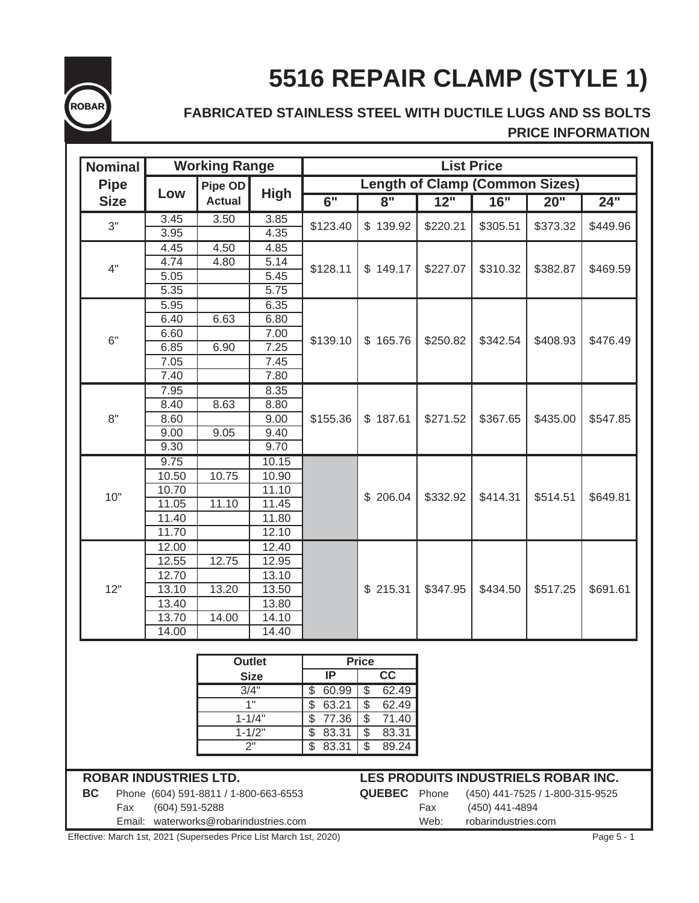

# **5516 REPAIR CLAMP (STYLE 1)**

# **FABRICATED STAINLESS STEEL WITH DUCTILE LUGS AND SS BOLTS PRICE INFORMATION**

| <b>Nominal</b>               |                | <b>Working Range</b>                  |                     |                   |               |                     |                             | <b>List Price</b>                     |          |                    |  |
|------------------------------|----------------|---------------------------------------|---------------------|-------------------|---------------|---------------------|-----------------------------|---------------------------------------|----------|--------------------|--|
| <b>Pipe</b>                  |                | Pipe OD                               |                     |                   |               |                     |                             | <b>Length of Clamp (Common Sizes)</b> |          |                    |  |
| <b>Size</b>                  | Low            | <b>Actual</b>                         | <b>High</b>         | 6"                |               | $\overline{8}$ "    | 12"                         | 16"                                   | 20"      | $24^{\frac{1}{1}}$ |  |
| 3"                           | 3.45           | 3.50                                  | 3.85                | \$123.40          |               | \$139.92            | \$220.21                    | \$305.51                              | \$373.32 | \$449.96           |  |
|                              | 3.95           |                                       | 4.35                |                   |               |                     |                             |                                       |          |                    |  |
|                              | 4.45           | 4.50                                  | 4.85                |                   |               |                     |                             |                                       |          |                    |  |
| 4"                           | 4.74           | 4.80                                  | 5.14                | \$128.11          |               | \$149.17            | \$227.07                    | \$310.32                              | \$382.87 | \$469.59           |  |
|                              | 5.05           |                                       | 5.45                |                   |               |                     |                             |                                       |          |                    |  |
|                              | 5.35           |                                       | $\overline{5.75}$   |                   |               |                     |                             |                                       |          |                    |  |
|                              | 5.95           |                                       | 6.35                |                   |               |                     |                             |                                       |          |                    |  |
|                              | 6.40           | 6.63                                  | 6.80                | \$139.10          |               |                     |                             |                                       |          |                    |  |
| 6"                           | 6.60           |                                       | 7.00                |                   | \$165.76      | \$250.82            | \$342.54                    | \$408.93                              | \$476.49 |                    |  |
|                              | 6.85<br>7.05   | 6.90                                  | 7.25                |                   |               |                     |                             |                                       |          |                    |  |
|                              | 7.40           |                                       | 7.45<br>7.80        |                   |               |                     |                             |                                       |          |                    |  |
|                              | 7.95           |                                       | 8.35                |                   |               |                     |                             |                                       |          |                    |  |
|                              | 8.40           | 8.63                                  | 8.80                |                   |               |                     |                             |                                       |          |                    |  |
| 8"                           | 8.60           |                                       | 9.00                | \$155.36          |               | \$187.61            | \$271.52                    | \$367.65                              | \$435.00 | \$547.85           |  |
|                              | 9.00           | 9.05                                  | 9.40                |                   |               |                     |                             |                                       |          |                    |  |
|                              | 9.30           |                                       | 9.70                |                   |               |                     |                             |                                       |          |                    |  |
|                              | 9.75           |                                       | 10.15               |                   |               |                     |                             |                                       |          |                    |  |
|                              | 10.50          | 10.75                                 | 10.90               |                   |               |                     |                             |                                       |          |                    |  |
|                              | 10.70          |                                       | 11.10               |                   |               |                     |                             |                                       |          |                    |  |
| 10"                          | 11.05          | 11.10                                 | 11.45               |                   |               | \$206.04            | \$332.92                    | \$414.31                              | \$514.51 | \$649.81           |  |
|                              | 11.40          |                                       | 11.80               |                   |               |                     |                             |                                       |          |                    |  |
|                              | 11.70          |                                       | 12.10               |                   |               |                     |                             |                                       |          |                    |  |
|                              | 12.00          |                                       | 12.40               |                   |               |                     |                             |                                       |          |                    |  |
|                              | 12.55          | 12.75                                 | 12.95               |                   |               |                     |                             |                                       |          |                    |  |
|                              | 12.70          |                                       | 13.10               |                   |               |                     |                             |                                       |          |                    |  |
| 12"                          | 13.10          | 13.20                                 | 13.50               |                   |               | \$215.31            | \$347.95                    | \$434.50                              | \$517.25 | \$691.61           |  |
|                              | 13.40          |                                       | 13.80               |                   |               |                     |                             |                                       |          |                    |  |
|                              | 13.70          | 14.00                                 | 14.10               |                   |               |                     |                             |                                       |          |                    |  |
|                              | 14.00          |                                       | 14.40               |                   |               |                     |                             |                                       |          |                    |  |
|                              |                |                                       |                     |                   |               |                     |                             |                                       |          |                    |  |
|                              |                |                                       | <b>Outlet</b>       | IP                | <b>Price</b>  | cc                  |                             |                                       |          |                    |  |
|                              |                |                                       | <b>Size</b><br>3/4" | 60.99             | \$            | 62.49               |                             |                                       |          |                    |  |
|                              |                |                                       | 1"                  | \$<br>63.21<br>\$ | \$            | 62.49               |                             |                                       |          |                    |  |
|                              |                |                                       | $1 - 1/4"$          | 77.36<br>\$       | \$            | 71.40               |                             |                                       |          |                    |  |
|                              | $1 - 1/2"$     |                                       |                     | \$<br>83.31       | $\frac{1}{2}$ | 83.31               |                             |                                       |          |                    |  |
|                              | 2"             |                                       |                     | \$<br>83.31       | \$            | 89.24               |                             |                                       |          |                    |  |
|                              |                |                                       |                     |                   |               |                     |                             |                                       |          |                    |  |
| <b>ROBAR INDUSTRIES LTD.</b> |                |                                       |                     |                   |               |                     |                             | LES PRODUITS INDUSTRIELS ROBAR INC.   |          |                    |  |
| <b>BC</b>                    |                | Phone (604) 591-8811 / 1-800-663-6553 |                     |                   |               | <b>QUEBEC</b> Phone |                             | (450) 441-7525 / 1-800-315-9525       |          |                    |  |
| Fax                          | (604) 591-5288 |                                       |                     |                   |               |                     | Fax                         | (450) 441-4894                        |          |                    |  |
|                              |                | Email: waterworks@robarindustries.com |                     |                   |               |                     | Web:<br>robarindustries.com |                                       |          |                    |  |

Effective: March 1st, 2021 (Supersedes Price List March 1st, 2020) Page 5 - 1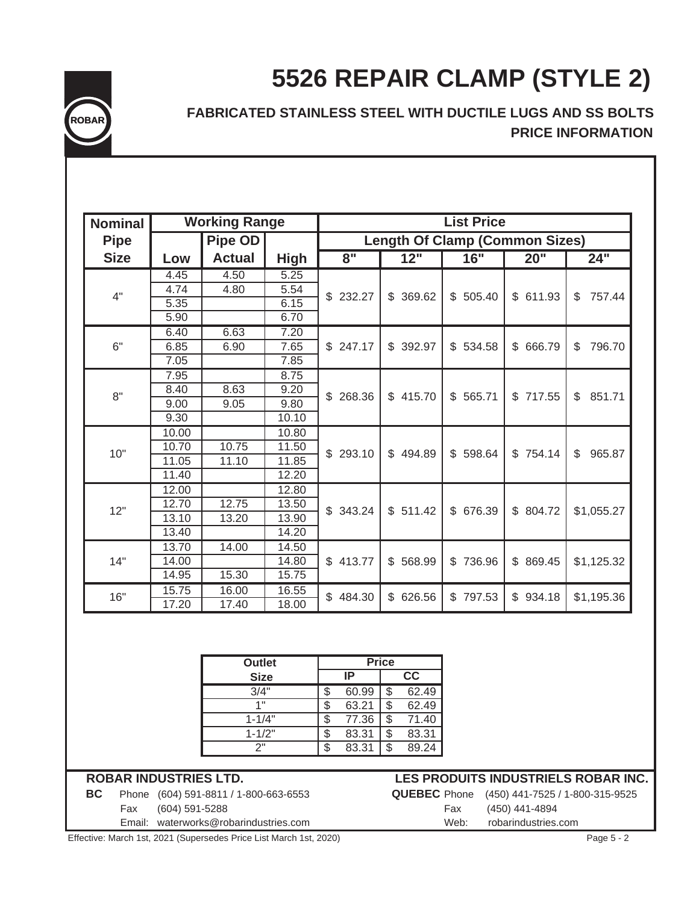



# **FABRICATED STAINLESS STEEL WITH DUCTILE LUGS AND SS BOLTS PRICE INFORMATION**

| <b>Nominal</b> |       | <b>Working Range</b> |             |                                        |                                       | <b>List Price</b> |                       |                        |  |  |  |  |
|----------------|-------|----------------------|-------------|----------------------------------------|---------------------------------------|-------------------|-----------------------|------------------------|--|--|--|--|
| <b>Pipe</b>    |       | Pipe OD              |             |                                        | <b>Length Of Clamp (Common Sizes)</b> |                   |                       |                        |  |  |  |  |
| <b>Size</b>    | Low   | <b>Actual</b>        | <b>High</b> | $\overline{\mathbf{8}^{\prime\prime}}$ | 12"                                   | 16"               | 20"                   | 24"                    |  |  |  |  |
|                | 4.45  | 4.50                 | 5.25        |                                        |                                       |                   |                       |                        |  |  |  |  |
| 4"             | 4.74  | 4.80                 | 5.54        | \$232.27                               | \$ 369.62                             | \$505.40          | \$611.93              | 757.44<br>\$           |  |  |  |  |
|                | 5.35  |                      | 6.15        |                                        |                                       |                   |                       |                        |  |  |  |  |
|                | 5.90  |                      | 6.70        |                                        |                                       |                   |                       |                        |  |  |  |  |
|                | 6.40  | 6.63                 | 7.20        | \$247.17                               | \$392.97                              |                   |                       |                        |  |  |  |  |
| 6"             | 6.85  | 6.90                 | 7.65        |                                        |                                       | \$534.58          | $\mathbb S$<br>666.79 | 796.70<br>\$           |  |  |  |  |
|                | 7.05  |                      | 7.85        |                                        |                                       |                   |                       |                        |  |  |  |  |
|                | 7.95  |                      | 8.75        | 268.36<br>\$                           |                                       |                   |                       |                        |  |  |  |  |
| 8"             | 8.40  | 8.63                 | 9.20        |                                        | \$415.70                              | \$565.71          | \$717.55              | \$<br>851.71           |  |  |  |  |
|                | 9.00  | 9.05                 | 9.80        |                                        |                                       |                   |                       |                        |  |  |  |  |
|                | 9.30  |                      | 10.10       |                                        |                                       |                   |                       |                        |  |  |  |  |
|                | 10.00 |                      | 10.80       | \$293.10                               | \$494.89                              |                   |                       | $\mathbb{S}$<br>965.87 |  |  |  |  |
| 10"            | 10.70 | 10.75                | 11.50       |                                        |                                       | \$598.64          | \$754.14              |                        |  |  |  |  |
|                | 11.05 | 11.10                | 11.85       |                                        |                                       |                   |                       |                        |  |  |  |  |
|                | 11.40 |                      | 12.20       |                                        |                                       |                   |                       |                        |  |  |  |  |
|                | 12.00 |                      | 12.80       |                                        |                                       |                   |                       |                        |  |  |  |  |
| 12"            | 12.70 | 12.75                | 13.50       | \$343.24                               | \$511.42                              | \$ 676.39         | \$ 804.72             | \$1,055.27             |  |  |  |  |
|                | 13.10 | 13.20                | 13.90       |                                        |                                       |                   |                       |                        |  |  |  |  |
|                | 13.40 |                      | 14.20       |                                        |                                       |                   |                       |                        |  |  |  |  |
|                | 13.70 | 14.00                | 14.50       |                                        |                                       |                   |                       |                        |  |  |  |  |
| 14"            | 14.00 |                      | 14.80       | \$413.77                               | \$<br>568.99                          | \$<br>736.96      | \$ 869.45             | \$1,125.32             |  |  |  |  |
|                | 14.95 | 15.30                | 15.75       |                                        |                                       |                   |                       |                        |  |  |  |  |
|                | 15.75 | 16.00                | 16.55       | \$484.30                               | \$626.56                              | \$797.53          | \$934.18              |                        |  |  |  |  |
| 16"            | 17.20 | 17.40                | 18.00       |                                        |                                       |                   |                       | \$1,195.36             |  |  |  |  |

| <b>Outlet</b> | <b>Price</b> |       |  |       |  |  |
|---------------|--------------|-------|--|-------|--|--|
| <b>Size</b>   |              | ΙP    |  | СC    |  |  |
| 3/4"          | S            | 60.99 |  | 62.49 |  |  |
| 1"            | S            | 63.21 |  | 62.49 |  |  |
| $1 - 1/4"$    | \$           | 77.36 |  | 71.40 |  |  |
| $1 - 1/2"$    | S            | 83.31 |  | 83.31 |  |  |
| っ"            |              | 83.31 |  | 89.24 |  |  |

### **ROBAR INDUSTRIES LTD.**

**BC** Phone (604) 591-8811 / 1-800-663-6553 **QUEBEC** Phone (450) 441-7525 / 1-800-315-9525 Fax (604) 591-5288 Fax (450) 441-4894

### **LES PRODUITS INDUSTRIELS ROBAR INC.**

Email: waterworks@robarindustries.com Web: robarindustries.com

Effective: March 1st, 2021 (Supersedes Price List March 1st, 2020) Page 5 - 2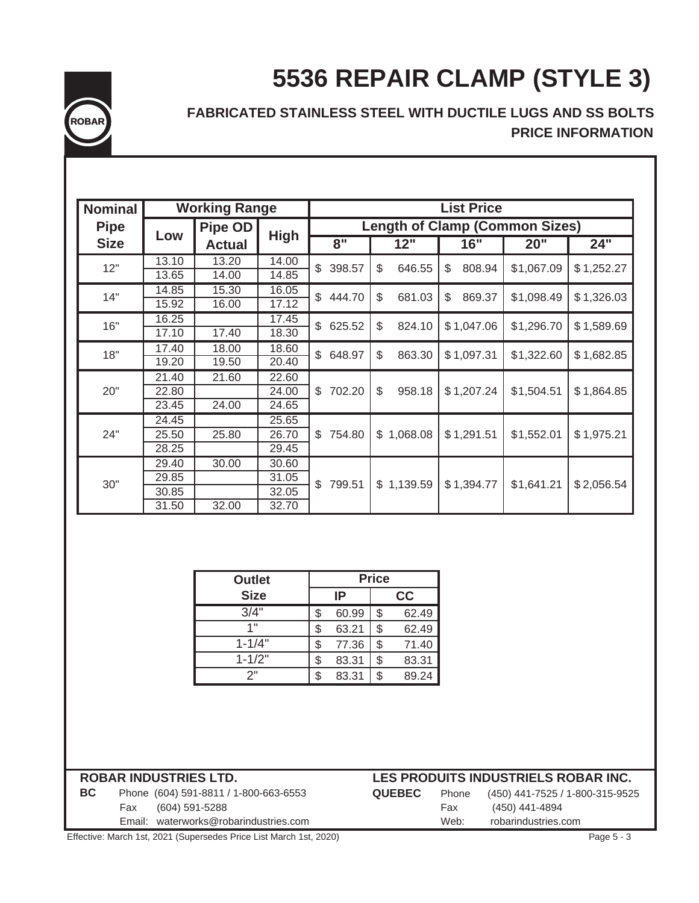# **5536 REPAIR CLAMP (STYLE 3)**



# **FABRICATED STAINLESS STEEL WITH DUCTILE LUGS AND SS BOLTS PRICE INFORMATION**

| <b>Nominal</b> |       | <b>Working Range</b> |             | <b>List Price</b>                     |              |              |            |            |  |  |  |
|----------------|-------|----------------------|-------------|---------------------------------------|--------------|--------------|------------|------------|--|--|--|
| <b>Pipe</b>    |       | <b>Pipe OD</b>       |             | <b>Length of Clamp (Common Sizes)</b> |              |              |            |            |  |  |  |
| <b>Size</b>    | Low   | <b>Actual</b>        | <b>High</b> | 8"                                    | 12"          | 16"          | 20"        | 24"        |  |  |  |
| 12"            | 13.10 | 13.20                | 14.00       | 398.57                                | \$<br>646.55 | 808.94<br>\$ |            |            |  |  |  |
|                | 13.65 | 14.00                | 14.85       | \$                                    |              |              | \$1,067.09 | \$1,252.27 |  |  |  |
| 14"            | 14.85 | 15.30                | 16.05       | \$                                    |              | 869.37       |            |            |  |  |  |
|                | 15.92 | 16.00                | 17.12       | 444.70                                | \$<br>681.03 | \$           | \$1,098.49 | \$1,326.03 |  |  |  |
| 16"            | 16.25 |                      | 17.45       | \$<br>625.52                          | \$<br>824.10 | \$1,047.06   | \$1,296.70 | \$1,589.69 |  |  |  |
|                | 17.10 | 17.40                | 18.30       |                                       |              |              |            |            |  |  |  |
| 18"            | 17.40 | 18.00                | 18.60       | $\mathbb S$<br>648.97                 | \$<br>863.30 | \$1,097.31   | \$1,322.60 | \$1,682.85 |  |  |  |
|                | 19.20 | 19.50                | 20.40       |                                       |              |              |            |            |  |  |  |
|                | 21.40 | 21.60                | 22.60       |                                       |              | \$1,207.24   | \$1,504.51 | \$1,864.85 |  |  |  |
| 20"            | 22.80 |                      | 24.00       | \$702.20                              | \$<br>958.18 |              |            |            |  |  |  |
|                | 23.45 | 24.00                | 24.65       |                                       |              |              |            |            |  |  |  |
|                | 24.45 |                      | 25.65       |                                       |              |              |            |            |  |  |  |
| 24"            | 25.50 | 25.80                | 26.70       | \$754.80                              | \$1,068.08   | \$1,291.51   | \$1,552.01 | \$1,975.21 |  |  |  |
|                | 28.25 |                      | 29.45       |                                       |              |              |            |            |  |  |  |
|                | 29.40 | 30.00                | 30.60       |                                       |              |              |            |            |  |  |  |
|                | 29.85 |                      | 31.05       | \$<br>799.51                          | \$1,139.59   | \$1,394.77   | \$1,641.21 | \$2,056.54 |  |  |  |
| 30"            | 30.85 |                      | 32.05       |                                       |              |              |            |            |  |  |  |
|                | 31.50 | 32.00                | 32.70       |                                       |              |              |            |            |  |  |  |

| <b>Outlet</b> | <b>Price</b> |       |    |       |  |  |
|---------------|--------------|-------|----|-------|--|--|
| <b>Size</b>   |              | IP    | cc |       |  |  |
| 3/4"          | \$           | 60.99 | \$ | 62.49 |  |  |
| 1"            | \$           | 63.21 | \$ | 62.49 |  |  |
| $1 - 1/4"$    | \$           | 77.36 | \$ | 71.40 |  |  |
| $1 - 1/2"$    | \$           | 83.31 | \$ | 83.31 |  |  |
| 2"            | \$           | 83.31 | \$ | 89.24 |  |  |

| <b>BC</b> | Phone (604) 591-8811 / 1-800-663-6553 |  | <b>QUEBEC</b> Phone (450) 441-7525 / 1-800-315-9525 |  |
|-----------|---------------------------------------|--|-----------------------------------------------------|--|
|           | Fax (604) 591-5288                    |  | (450) 441-4894                                      |  |

# **ROBAR INDUSTRIES LTD. LES PRODUITS INDUSTRIELS ROBAR INC.**

|  | IDEV |  |  |
|--|------|--|--|
|  |      |  |  |
|  |      |  |  |
|  |      |  |  |
|  |      |  |  |

Fax (450) 441-4894 Email: waterworks@robarindustries.com Web: robarindustries.com

Effective: March 1st, 2021 (Supersedes Price List March 1st, 2020) **Page 5 - 3** Page 5 - 3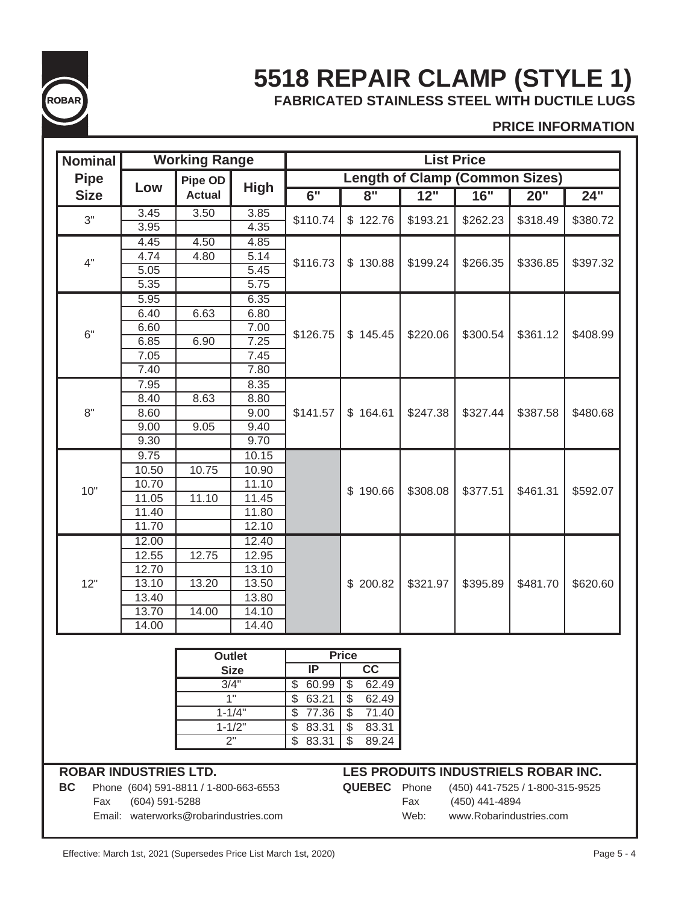

# **5518 REPAIR CLAMP (STYLE 1) FABRICATED STAINLESS STEEL WITH DUCTILE LUGS**

**PRICE INFORMATION**

| Nominal     |                   | <b>Working Range</b> |             |                                   |                                       |                   | <b>List Price</b> |          |          |
|-------------|-------------------|----------------------|-------------|-----------------------------------|---------------------------------------|-------------------|-------------------|----------|----------|
| <b>Pipe</b> |                   | Pipe OD              |             |                                   | <b>Length of Clamp (Common Sizes)</b> |                   |                   |          |          |
| <b>Size</b> | Low               | <b>Actual</b>        | <b>High</b> | $\overline{6}$ "                  | $\overline{8"}$                       | $\overline{12}$ " | 16"               | 20"      | 24"      |
| 3"          | 3.45              | 3.50                 | 3.85        | \$110.74                          | \$122.76                              | \$193.21          | \$262.23          | \$318.49 | \$380.72 |
|             | 3.95              |                      | 4.35        |                                   |                                       |                   |                   |          |          |
|             | 4.45              | 4.50                 | 4.85        |                                   | \$130.88                              | \$199.24          |                   | \$336.85 |          |
| 4"          | 4.74              | 4.80                 | 5.14        | \$116.73                          |                                       |                   | \$266.35          |          | \$397.32 |
|             | $\overline{5.05}$ |                      | 5.45        |                                   |                                       |                   |                   |          |          |
|             | 5.35              |                      | 5.75        |                                   |                                       |                   |                   |          |          |
|             | 5.95              |                      | 6.35        |                                   |                                       |                   |                   |          |          |
|             | 6.40              | 6.63                 | 6.80        | \$126.75                          |                                       |                   |                   |          |          |
| 6"          | 6.60              |                      | 7.00        |                                   | \$145.45                              | \$220.06          | \$300.54          | \$361.12 | \$408.99 |
|             | 6.85              | 6.90                 | 7.25        |                                   |                                       |                   |                   |          |          |
|             | 7.05              |                      | 7.45        |                                   |                                       |                   |                   |          |          |
|             | 7.40              |                      | 7.80        |                                   |                                       |                   |                   |          |          |
|             | 7.95              |                      | 8.35        |                                   |                                       |                   |                   |          |          |
|             | 8.40              | 8.63                 | 8.80        |                                   |                                       |                   |                   |          |          |
| 8"          | 8.60              |                      | 9.00        | \$141.57                          | \$164.61                              | \$247.38          | \$327.44          | \$387.58 | \$480.68 |
|             | 9.00              | 9.05                 | 9.40        |                                   |                                       |                   |                   |          |          |
|             | 9.30              |                      | 9.70        |                                   |                                       |                   |                   |          |          |
|             | 9.75              |                      | 10.15       |                                   |                                       |                   |                   |          |          |
|             | 10.50             | 10.75                | 10.90       |                                   |                                       |                   |                   |          |          |
| 10"         | 10.70             |                      | 11.10       |                                   | \$190.66                              | \$308.08          | \$377.51          | \$461.31 | \$592.07 |
|             | 11.05             | 11.10                | 11.45       |                                   |                                       |                   |                   |          |          |
|             | 11.40             |                      | 11.80       |                                   |                                       |                   |                   |          |          |
|             | 11.70             |                      | 12.10       |                                   |                                       |                   |                   |          |          |
|             | 12.00             |                      | 12.40       |                                   |                                       |                   |                   |          |          |
|             | 12.55             | 12.75                | 12.95       |                                   |                                       |                   |                   |          |          |
|             | 12.70             |                      | 13.10       |                                   |                                       |                   |                   |          |          |
| 12"         | 13.10             | 13.20                | 13.50       |                                   | \$200.82                              | \$321.97          | \$395.89          | \$481.70 | \$620.60 |
|             | 13.40             |                      | 13.80       |                                   |                                       |                   |                   |          |          |
|             | 13.70             | 14.00                | 14.10       |                                   |                                       |                   |                   |          |          |
|             | 14.00             |                      | 14.40       |                                   |                                       |                   |                   |          |          |
|             |                   |                      |             |                                   |                                       |                   |                   |          |          |
|             |                   | <b>Outlet</b>        |             |                                   | <b>Price</b>                          |                   |                   |          |          |
|             |                   |                      | <b>Size</b> | $\overline{IP}$                   | $\overline{cc}$                       |                   |                   |          |          |
|             |                   |                      | 3/4"        | 60.99<br>$\overline{\mathcal{E}}$ | $\overline{\$}$<br>62.49              |                   |                   |          |          |
|             |                   |                      | 1"          | \$<br>63.21                       | $\overline{\$}$<br>62.49              |                   |                   |          |          |
|             |                   |                      | $1 - 1/4"$  | \$<br>77.36                       | \$<br>71.40                           |                   |                   |          |          |
|             |                   |                      | $1 - 1/2"$  | $\overline{\mathcal{E}}$<br>83.31 | $\overline{\$}$<br>83.31              |                   |                   |          |          |

## **ROBAR INDUSTRIES LTD. LES PRODUITS INDUSTRIELS ROBAR INC.**

 $$83.31$   $$89.24$ 

**BC** Phone (604) 591-8811 / 1-800-663-6553 **QUEBEC** Phone (450) 441-7525 / 1-800-315-9525

 Fax (604) 591-5288 Fax (450) 441-4894 Email: waterworks@robarindustries.com Web: www.Robarindustries.com

2"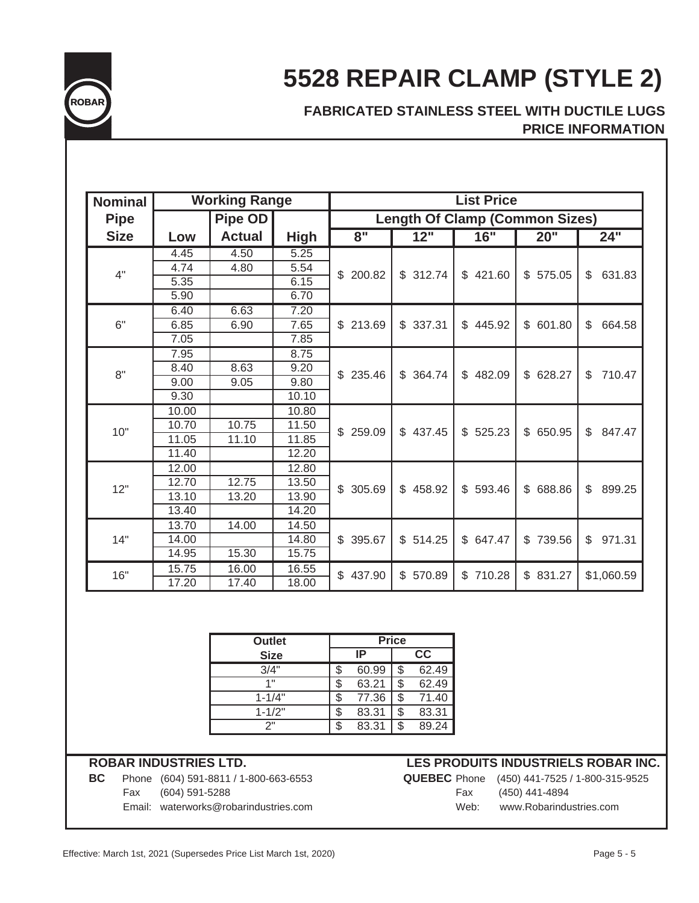

# **5528 REPAIR CLAMP (STYLE 2)**

# **FABRICATED STAINLESS STEEL WITH DUCTILE LUGS PRICE INFORMATION**

| <b>Nominal</b> |       | <b>Working Range</b> |             |          |          | <b>List Price</b>                     |                          |              |  |
|----------------|-------|----------------------|-------------|----------|----------|---------------------------------------|--------------------------|--------------|--|
| <b>Pipe</b>    |       | <b>Pipe OD</b>       |             |          |          | <b>Length Of Clamp (Common Sizes)</b> |                          |              |  |
| <b>Size</b>    | Low   | <b>Actual</b>        | <b>High</b> | 8"       | 12"      | 16"                                   | 20"                      | 24"          |  |
|                | 4.45  | 4.50                 | 5.25        |          |          | \$421.60                              | \$575.05                 |              |  |
| 4"             | 4.74  | 4.80                 | 5.54        | \$200.82 | \$312.74 |                                       |                          | \$<br>631.83 |  |
|                | 5.35  |                      | 6.15        |          |          |                                       |                          |              |  |
|                | 5.90  |                      | 6.70        |          |          |                                       |                          |              |  |
|                | 6.40  | 6.63                 | 7.20        | \$213.69 |          |                                       |                          |              |  |
| 6"             | 6.85  | 6.90                 | 7.65        |          | \$337.31 | \$445.92                              | \$601.80                 | \$<br>664.58 |  |
|                | 7.05  |                      | 7.85        |          |          |                                       |                          |              |  |
|                | 7.95  |                      | 8.75        |          |          |                                       |                          |              |  |
| 8"             | 8.40  | 8.63                 | 9.20        |          |          |                                       |                          |              |  |
|                | 9.00  | 9.05                 | 9.80        | \$235.46 | \$364.74 | \$482.09                              | \$628.27                 | \$<br>710.47 |  |
|                | 9.30  |                      | 10.10       |          |          |                                       |                          |              |  |
|                | 10.00 |                      | 10.80       |          |          |                                       |                          |              |  |
| 10"            | 10.70 | 10.75                | 11.50       |          | \$437.45 | $\mathbb{S}$<br>525.23                | 650.95<br>$\mathbb{S}^-$ | \$           |  |
|                | 11.05 | 11.10                | 11.85       | \$259.09 |          |                                       |                          | 847.47       |  |
|                | 11.40 |                      | 12.20       |          |          |                                       |                          |              |  |
|                | 12.00 |                      | 12.80       |          |          |                                       |                          |              |  |
| 12"            | 12.70 | 12.75                | 13.50       | \$305.69 | \$458.92 |                                       | \$ 688.86                |              |  |
|                | 13.10 | 13.20                | 13.90       |          |          | \$593.46                              |                          | \$<br>899.25 |  |
|                | 13.40 |                      | 14.20       |          |          |                                       |                          |              |  |
|                | 13.70 | 14.00                | 14.50       |          |          |                                       |                          |              |  |
| 14"            | 14.00 |                      | 14.80       | \$395.67 | \$514.25 | \$647.47                              | $\mathbb{S}$<br>739.56   | \$<br>971.31 |  |
|                | 14.95 | 15.30                | 15.75       |          |          |                                       |                          |              |  |
|                | 15.75 | 16.00                | 16.55       |          |          |                                       |                          |              |  |
| 16"            | 17.20 | 17.40                | 18.00       | \$437.90 | \$570.89 | \$710.28                              | \$831.27                 | \$1,060.59   |  |

| <b>Outlet</b> | <b>Price</b> |       |    |       |  |  |  |
|---------------|--------------|-------|----|-------|--|--|--|
| <b>Size</b>   |              | ΙP    | CC |       |  |  |  |
| 3/4"          | \$           | 60.99 | \$ | 62.49 |  |  |  |
| 1"            | S            | 63.21 | \$ | 62.49 |  |  |  |
| $1 - 1/4"$    | S            | 77.36 | \$ | 71.40 |  |  |  |
| $1 - 1/2"$    | S            | 83.31 | \$ | 83.31 |  |  |  |
| 2"            | S            | 83.31 | \$ | 89.24 |  |  |  |

### **ROBAR INDUSTRIES LTD.**

**BC** Phone (604) 591-8811 / 1-800-663-6553 **QU** Fax (604) 591-5288 Email: waterworks@robarindustries.com

# **LES PRODUITS INDUSTRIELS ROBAR INC.**

|      | <b>JEBEC</b> Phone (450) 441-7525 / 1-800-315-9525 |
|------|----------------------------------------------------|
| Fax  | (450) 441-4894                                     |
| Web: | www.Robarindustries.com                            |
|      |                                                    |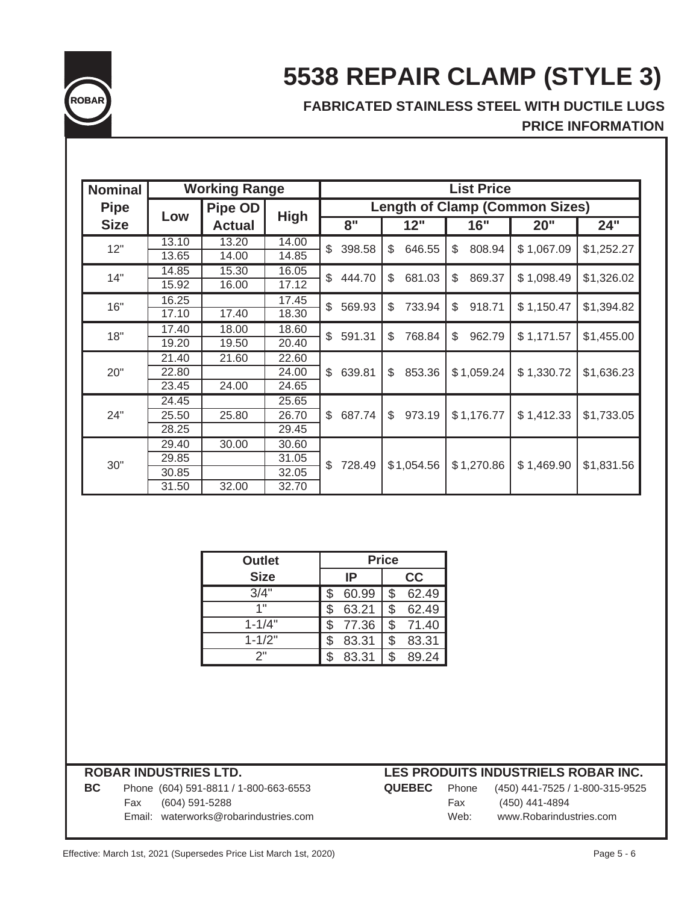

# **5538 REPAIR CLAMP (STYLE 3)**

# **FABRICATED STAINLESS STEEL WITH DUCTILE LUGS PRICE INFORMATION**

| <b>Nominal</b> |       | <b>Working Range</b> |             |                                       |                       | <b>List Price</b> |            |            |  |  |  |
|----------------|-------|----------------------|-------------|---------------------------------------|-----------------------|-------------------|------------|------------|--|--|--|
| <b>Pipe</b>    | Low   | <b>Pipe OD</b>       |             | <b>Length of Clamp (Common Sizes)</b> |                       |                   |            |            |  |  |  |
| <b>Size</b>    |       | <b>Actual</b>        | <b>High</b> | 8"                                    | 12"                   | 16"               | 20"        | 24"        |  |  |  |
| 12"            | 13.10 | 13.20                | 14.00       | \$<br>398.58                          | \$<br>646.55          | 808.94<br>\$      | \$1,067.09 | \$1,252.27 |  |  |  |
|                | 13.65 | 14.00                | 14.85       |                                       |                       |                   |            |            |  |  |  |
| 14"            | 14.85 | 15.30                | 16.05       | \$<br>444.70                          | \$<br>681.03          | \$<br>869.37      | \$1,098.49 | \$1,326.02 |  |  |  |
|                | 15.92 | 16.00                | 17.12       |                                       |                       |                   |            |            |  |  |  |
| 16"            | 16.25 |                      | 17.45       | \$<br>569.93                          | 733.94<br>\$          | 918.71<br>\$      | \$1,150.47 | \$1,394.82 |  |  |  |
|                | 17.10 | 17.40                | 18.30       |                                       |                       |                   |            |            |  |  |  |
| 18"            | 17.40 | 18.00                | 18.60       | \$<br>591.31                          | 768.84<br>\$          | 962.79<br>\$      | \$1,171.57 | \$1,455.00 |  |  |  |
|                | 19.20 | 19.50                | 20.40       |                                       |                       |                   |            |            |  |  |  |
|                | 21.40 | 21.60                | 22.60       |                                       |                       | \$1,059.24        | \$1,330.72 | \$1,636.23 |  |  |  |
| 20"            | 22.80 |                      | 24.00       | 639.81<br>\$                          | \$<br>853.36          |                   |            |            |  |  |  |
|                | 23.45 | 24.00                | 24.65       |                                       |                       |                   |            |            |  |  |  |
|                | 24.45 |                      | 25.65       |                                       |                       |                   |            | \$1,733.05 |  |  |  |
| 24"            | 25.50 | 25.80                | 26.70       | \$<br>687.74                          | $\mathbb S$<br>973.19 | \$1,176.77        | \$1,412.33 |            |  |  |  |
|                | 28.25 |                      | 29.45       |                                       |                       |                   |            |            |  |  |  |
|                | 29.40 | 30.00                | 30.60       |                                       |                       |                   |            | \$1,831.56 |  |  |  |
| 30"            | 29.85 |                      | 31.05       | \$<br>728.49                          | \$1,054.56            | \$1,270.86        | \$1,469.90 |            |  |  |  |
|                | 30.85 |                      | 32.05       |                                       |                       |                   |            |            |  |  |  |
|                | 31.50 | 32.00                | 32.70       |                                       |                       |                   |            |            |  |  |  |

| <b>Outlet</b> | <b>Price</b> |             |  |  |
|---------------|--------------|-------------|--|--|
| <b>Size</b>   | IP<br>cc     |             |  |  |
| 3/4"          | 60.99        | \$<br>62.49 |  |  |
| 1"            | 63.21        | \$<br>62.49 |  |  |
| $1 - 1/4"$    | 77.36        | \$<br>71.40 |  |  |
| $1 - 1/2"$    | 83.31        | \$<br>83.31 |  |  |
| 2"            | 83.31        | \$<br>89.24 |  |  |

| <b>BC</b> | Phone (604) 591-8811 / 1-800-663-6553 | <b>QUEBEC</b> |      | Phone (450) 441-7525 / 1-800-315-9525 |
|-----------|---------------------------------------|---------------|------|---------------------------------------|
|           | Fax (604) 591-5288                    |               | Fax  | (450) 441-4894                        |
|           | Email: waterworks@robarindustries.com |               | Web: | www.Robarindustries.com               |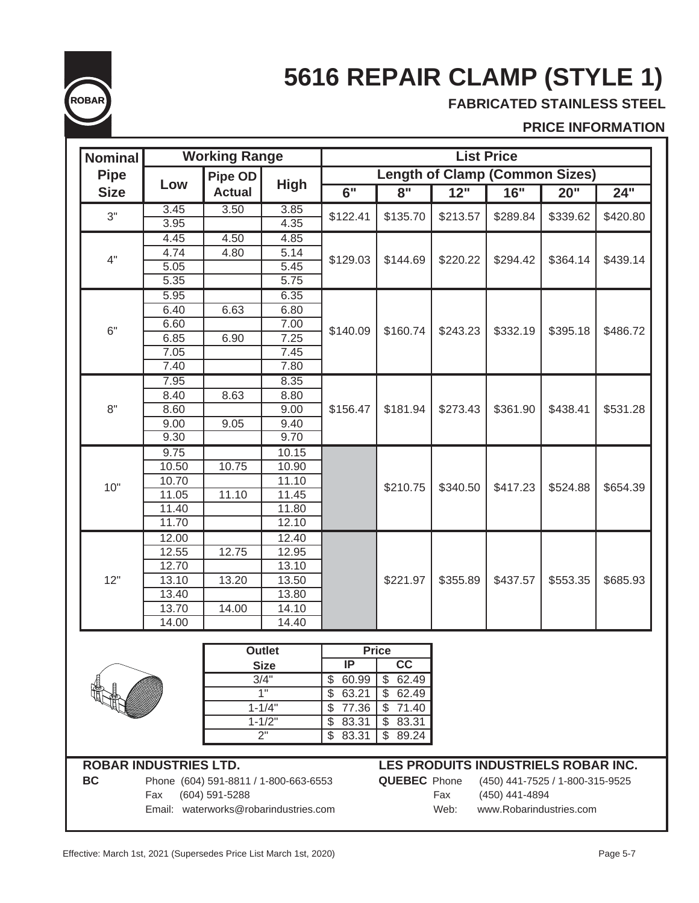

# **5616 REPAIR CLAMP (STYLE 1)**

**FABRICATED STAINLESS STEEL**

## **PRICE INFORMATION**

| <b>Nominal</b>               |                                                                          | <b>Working Range</b>                  |                           |                   |                                 |          | <b>List Price</b>                     |          |          |
|------------------------------|--------------------------------------------------------------------------|---------------------------------------|---------------------------|-------------------|---------------------------------|----------|---------------------------------------|----------|----------|
| <b>Pipe</b>                  |                                                                          | <b>Pipe OD</b>                        |                           |                   |                                 |          | <b>Length of Clamp (Common Sizes)</b> |          |          |
| <b>Size</b>                  | Low                                                                      | <b>Actual</b>                         | <b>High</b>               | $\overline{6"}$   | 8"                              | 12"      | 16"                                   | 20"      | 24"      |
| 3"                           | 3.45                                                                     | 3.50                                  | 3.85                      | \$122.41          | \$135.70                        | \$213.57 | \$289.84                              | \$339.62 | \$420.80 |
|                              | 3.95                                                                     | 4.50                                  | 4.35                      |                   |                                 |          |                                       |          |          |
|                              | 4.45<br>4.74                                                             | 4.80                                  | 4.85<br>$\overline{5.14}$ |                   |                                 |          |                                       |          |          |
| 4"                           | 5.05                                                                     |                                       | 5.45                      | \$129.03          | \$144.69                        | \$220.22 | \$294.42                              | \$364.14 | \$439.14 |
|                              | 5.35                                                                     |                                       | 5.75                      |                   |                                 |          |                                       |          |          |
|                              | 5.95                                                                     |                                       | 6.35                      |                   |                                 |          |                                       |          |          |
|                              | 6.40                                                                     | 6.63                                  | 6.80                      |                   |                                 |          |                                       |          |          |
|                              | 6.60                                                                     |                                       | 7.00                      |                   |                                 |          |                                       |          |          |
| 6"                           | 6.85                                                                     | 6.90                                  | 7.25                      | \$140.09          | \$160.74                        | \$243.23 | \$332.19                              | \$395.18 | \$486.72 |
|                              | 7.05                                                                     |                                       | 7.45                      |                   |                                 |          |                                       |          |          |
|                              | 7.40                                                                     |                                       | 7.80                      |                   |                                 |          |                                       |          |          |
|                              | 7.95                                                                     |                                       | 8.35                      |                   |                                 |          |                                       |          |          |
|                              | 8.40                                                                     | 8.63                                  | 8.80                      |                   | \$181.94                        |          |                                       | \$438.41 | \$531.28 |
| 8"                           | 8.60                                                                     |                                       | 9.00                      | \$156.47          |                                 | \$273.43 | \$361.90                              |          |          |
|                              | 9.00                                                                     | 9.05                                  | 9.40                      |                   |                                 |          |                                       |          |          |
|                              | 9.30                                                                     |                                       | 9.70                      |                   |                                 |          |                                       |          |          |
|                              | 9.75                                                                     |                                       | 10.15                     |                   |                                 |          |                                       |          |          |
|                              | 10.50                                                                    | 10.75                                 | 10.90                     |                   |                                 |          |                                       |          |          |
| 10"                          | 10.70                                                                    |                                       | 11.10                     |                   | \$210.75                        | \$340.50 | \$417.23                              | \$524.88 | \$654.39 |
|                              | 11.05                                                                    | 11.10                                 | 11.45                     |                   |                                 |          |                                       |          |          |
|                              | 11.40                                                                    |                                       | 11.80                     |                   |                                 |          |                                       |          |          |
|                              | 11.70                                                                    |                                       | 12.10                     |                   |                                 |          |                                       |          |          |
|                              | 12.00                                                                    |                                       | 12.40                     |                   |                                 |          |                                       |          |          |
|                              | 12.55                                                                    | 12.75                                 | 12.95                     |                   |                                 |          |                                       |          |          |
|                              | 12.70                                                                    |                                       | 13.10                     |                   |                                 |          |                                       |          |          |
| 12"                          | 13.10                                                                    | 13.20                                 | 13.50                     |                   | \$221.97                        | \$355.89 | \$437.57                              | \$553.35 | \$685.93 |
|                              | 13.40                                                                    | 14.00                                 | 13.80                     |                   |                                 |          |                                       |          |          |
|                              | 13.70<br>14.00                                                           |                                       | 14.10<br>14.40            |                   |                                 |          |                                       |          |          |
|                              |                                                                          |                                       |                           |                   |                                 |          |                                       |          |          |
|                              |                                                                          |                                       | <b>Outlet</b>             | $\overline{IP}$   | <b>Price</b><br>$\overline{cc}$ |          |                                       |          |          |
|                              |                                                                          |                                       | <b>Size</b><br>3/4"       | 60.99             | 62.49<br>\$                     |          |                                       |          |          |
|                              |                                                                          |                                       | 1"                        | \$<br>\$<br>63.21 | $\mathfrak{S}$<br>62.49         |          |                                       |          |          |
|                              |                                                                          |                                       | $1 - 1/4"$                | \$<br>77.36       | \$71.40                         |          |                                       |          |          |
|                              |                                                                          |                                       | $1 - 1/2"$                | 83.31<br>\$       | \$83.31                         |          |                                       |          |          |
|                              |                                                                          |                                       | 2 <sup>1</sup>            | \$<br>83.31       | \$89.24                         |          |                                       |          |          |
|                              |                                                                          |                                       |                           |                   |                                 |          |                                       |          |          |
| <b>ROBAR INDUSTRIES LTD.</b> |                                                                          |                                       |                           |                   |                                 |          | LES PRODUITS INDUSTRIELS ROBAR INC.   |          |          |
| <b>BC</b>                    |                                                                          | Phone (604) 591-8811 / 1-800-663-6553 |                           |                   | <b>QUEBEC</b> Phone             |          | (450) 441-7525 / 1-800-315-9525       |          |          |
|                              | Fax                                                                      | (604) 591-5288                        |                           |                   |                                 | Fax      | (450) 441-4894                        |          |          |
|                              | Email: waterworks@robarindustries.com<br>Web:<br>www.Robarindustries.com |                                       |                           |                   |                                 |          |                                       |          |          |
|                              |                                                                          |                                       |                           |                   |                                 |          |                                       |          |          |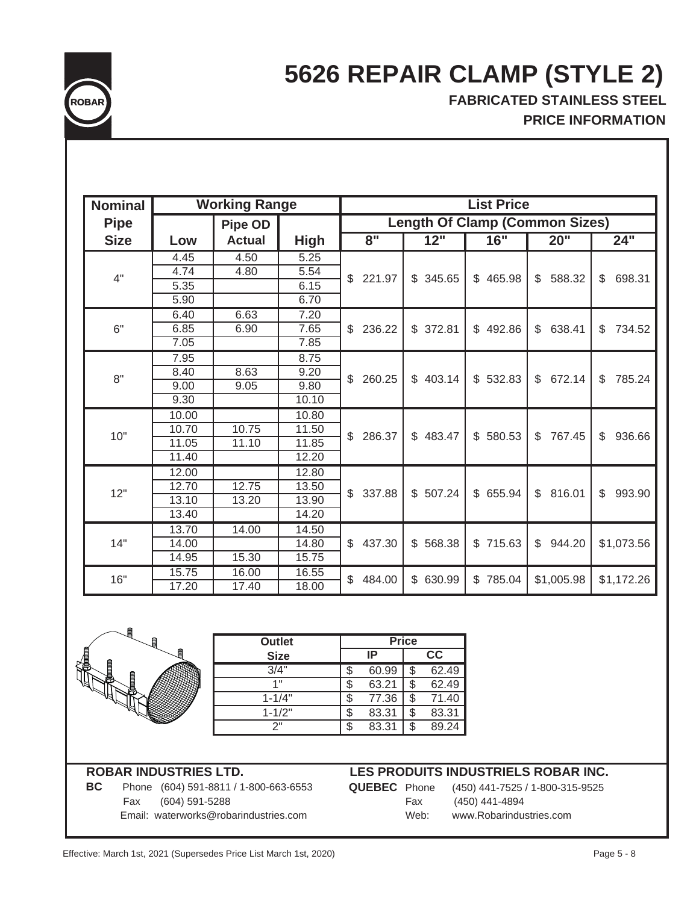

# **5626 REPAIR CLAMP (STYLE 2)**

**FABRICATED STAINLESS STEEL PRICE INFORMATION**

| <b>Nominal</b> |       | <b>Working Range</b> |             |              |                        | <b>List Price</b>                     |              |                          |
|----------------|-------|----------------------|-------------|--------------|------------------------|---------------------------------------|--------------|--------------------------|
|                |       |                      |             |              |                        |                                       |              |                          |
| <b>Pipe</b>    |       | <b>Pipe OD</b>       |             |              |                        | <b>Length Of Clamp (Common Sizes)</b> |              |                          |
| <b>Size</b>    | Low   | <b>Actual</b>        | <b>High</b> | 8"           | 12"                    | 16"                                   | 20"          | 24"                      |
|                | 4.45  | 4.50                 | 5.25        |              |                        |                                       |              |                          |
| 4"             | 4.74  | 4.80                 | 5.54        | \$<br>221.97 | 345.65<br>\$           | \$<br>465.98                          | \$<br>588.32 | \$<br>698.31             |
|                | 5.35  |                      | 6.15        |              |                        |                                       |              |                          |
|                | 5.90  |                      | 6.70        |              |                        |                                       |              |                          |
|                | 6.40  | 6.63                 | 7.20        |              |                        |                                       |              |                          |
| 6"             | 6.85  | 6.90                 | 7.65        | 236.22<br>\$ | \$372.81               | \$<br>492.86                          | \$<br>638.41 | 734.52<br>\$             |
|                | 7.05  |                      | 7.85        |              |                        |                                       |              |                          |
|                | 7.95  |                      | 8.75        |              |                        |                                       |              |                          |
| 8"             | 8.40  | 8.63                 | 9.20        | \$<br>260.25 | $\mathbb{S}$<br>403.14 | \$532.83                              | \$<br>672.14 | \$<br>785.24             |
|                | 9.00  | 9.05                 | 9.80        |              |                        |                                       |              |                          |
|                | 9.30  |                      | 10.10       |              |                        |                                       |              |                          |
|                | 10.00 |                      | 10.80       |              |                        | \$580.53                              | \$<br>767.45 |                          |
| 10"            | 10.70 | 10.75                | 11.50       | \$<br>286.37 | \$<br>483.47           |                                       |              |                          |
|                | 11.05 | 11.10                | 11.85       |              |                        |                                       |              | \$<br>936.66             |
|                | 11.40 |                      | 12.20       |              |                        |                                       |              |                          |
|                | 12.00 |                      | 12.80       |              |                        |                                       |              |                          |
| 12"            | 12.70 | 12.75                | 13.50       | $\mathbb{S}$ | \$507.24               | \$ 655.94                             | \$<br>816.01 | $\mathfrak{L}$<br>993.90 |
|                | 13.10 | 13.20                | 13.90       | 337.88       |                        |                                       |              |                          |
|                | 13.40 |                      | 14.20       |              |                        |                                       |              |                          |
|                | 13.70 | 14.00                | 14.50       |              |                        |                                       |              |                          |
| 14"            | 14.00 |                      | 14.80       | 437.30<br>\$ | \$<br>568.38           | \$715.63                              | \$<br>944.20 | \$1,073.56               |
|                | 14.95 | 15.30                | 15.75       |              |                        |                                       |              |                          |
| 16"            | 15.75 | 16.00                | 16.55       | 484.00<br>\$ |                        |                                       | \$1,005.98   |                          |
|                | 17.20 | 17.40                | 18.00       |              | $\mathbb{S}$<br>630.99 | \$785.04                              |              | \$1,172.26               |

| <b>Outlet</b> |       | <b>Price</b> |       |
|---------------|-------|--------------|-------|
| <b>Size</b>   | ΙP    |              | cc    |
| 3/4"          | 60.99 |              | 62.49 |
| 4 !!          | 63.21 |              | 62.49 |
| $1 - 1/4"$    | 77.36 | \$           | 71.40 |
| $1 - 1/2"$    | 83.31 | \$           | 83.31 |
| つ"            | 83.31 |              | 89.24 |
|               |       |              |       |

 Fax (604) 591-5288 Fax (450) 441-4894 Email: waterworks@robarindustries.com Web: www.Robarindustries.com

### **ROBAR INDUSTRIES LTD. LES PRODUITS INDUSTRIELS ROBAR INC.**

**BC** Phone (604) 591-8811 / 1-800-663-6553 **QUEBEC** Phone (450) 441-7525 / 1-800-315-9525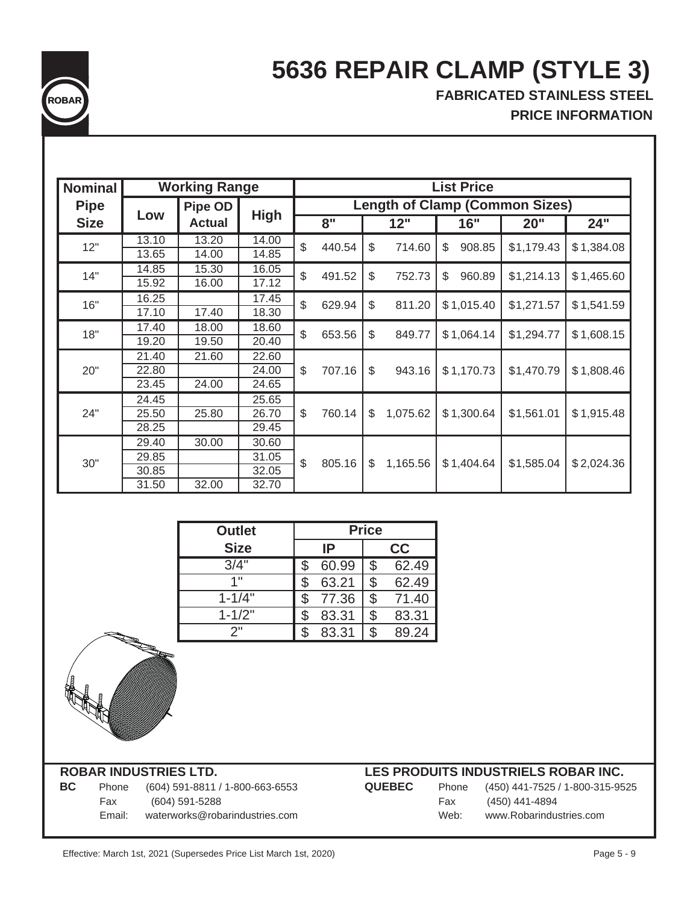

# **5636 REPAIR CLAMP (STYLE 3)**

**FABRICATED STAINLESS STEEL PRICE INFORMATION**

| <b>Nominal</b> |       | <b>Working Range</b><br><b>List Price</b> |             |    |                    |               |                                       |              |            |            |  |  |  |  |  |  |  |  |
|----------------|-------|-------------------------------------------|-------------|----|--------------------|---------------|---------------------------------------|--------------|------------|------------|--|--|--|--|--|--|--|--|
| <b>Pipe</b>    |       | <b>Pipe OD</b>                            |             |    |                    |               | <b>Length of Clamp (Common Sizes)</b> |              |            |            |  |  |  |  |  |  |  |  |
| <b>Size</b>    | Low   | <b>Actual</b>                             | <b>High</b> |    | 8"                 | 12"           |                                       | 16"          | 20"        | 24"        |  |  |  |  |  |  |  |  |
| 12"            | 13.10 | 13.20                                     | 14.00       | \$ | 440.54             | \$            | 714.60                                | \$<br>908.85 | \$1,179.43 | \$1,384.08 |  |  |  |  |  |  |  |  |
|                | 13.65 | 14.00                                     | 14.85       |    |                    |               |                                       |              |            |            |  |  |  |  |  |  |  |  |
| 14"            | 14.85 | 15.30                                     | 16.05       | \$ | 491.52             | $\mathcal{L}$ | 752.73                                | \$<br>960.89 | \$1,214.13 |            |  |  |  |  |  |  |  |  |
|                | 15.92 | 16.00                                     | 17.12       |    |                    |               |                                       |              |            | \$1,465.60 |  |  |  |  |  |  |  |  |
| 16"            | 16.25 |                                           | 17.45       | \$ | 629.94             | \$            | 811.20                                | \$1,015.40   | \$1,271.57 | \$1,541.59 |  |  |  |  |  |  |  |  |
|                | 17.10 | 17.40                                     | 18.30       |    |                    |               |                                       |              |            |            |  |  |  |  |  |  |  |  |
| 18"            | 17.40 | 18.00                                     | 18.60       |    | \$<br>653.56<br>\$ |               | 849.77                                | \$1,064.14   | \$1,294.77 | \$1,608.15 |  |  |  |  |  |  |  |  |
|                | 19.20 | 19.50                                     | 20.40       |    |                    |               |                                       |              |            |            |  |  |  |  |  |  |  |  |
|                | 21.40 | 21.60                                     | 22.60       |    |                    | \$            |                                       |              |            |            |  |  |  |  |  |  |  |  |
| 20"            | 22.80 |                                           | 24.00       | \$ | 707.16             |               |                                       |              |            |            |  |  |  |  |  |  |  |  |
|                | 23.45 | 24.00                                     | 24.65       |    |                    |               |                                       |              |            |            |  |  |  |  |  |  |  |  |
|                | 24.45 |                                           | 25.65       |    |                    |               |                                       |              |            |            |  |  |  |  |  |  |  |  |
| 24"            | 25.50 | 25.80                                     | 26.70       | \$ | 760.14             | \$            | 1,075.62                              | \$1,300.64   | \$1,561.01 | \$1,915.48 |  |  |  |  |  |  |  |  |
|                | 28.25 |                                           | 29.45       |    |                    |               |                                       |              |            |            |  |  |  |  |  |  |  |  |
|                | 29.40 | 30.00                                     | 30.60       | \$ |                    |               |                                       |              |            | \$2,024.36 |  |  |  |  |  |  |  |  |
| 30"            | 29.85 |                                           | 31.05       |    | 805.16             | \$            | 1,165.56                              | \$1,404.64   | \$1,585.04 |            |  |  |  |  |  |  |  |  |
|                | 30.85 |                                           | 32.05       |    |                    |               |                                       |              |            |            |  |  |  |  |  |  |  |  |
|                | 31.50 | 32.00                                     | 32.70       |    |                    |               |                                       |              |            |            |  |  |  |  |  |  |  |  |

| <b>Outlet</b> | <b>Price</b> |       |    |       |  |
|---------------|--------------|-------|----|-------|--|
| <b>Size</b>   |              | IP    | cc |       |  |
| 3/4"          |              | 60.99 | \$ | 62.49 |  |
| 1"            |              | 63.21 | \$ | 62.49 |  |
| $1 - 1/4"$    |              | 77.36 | \$ | 71.40 |  |
| $1 - 1/2"$    |              | 83.31 | \$ | 83.31 |  |
| 2"            |              | 83.31 | S  | 89.24 |  |



| ВC |        | Phone (604) 591-8811 / 1-800-663-6553 | <b>QUEBEC</b> |      | Phone (450) 441-7525 / 1-800-31 |
|----|--------|---------------------------------------|---------------|------|---------------------------------|
|    | Fax    | (604) 591-5288                        |               | Fax  | (450) 441-4894                  |
|    | Email: | waterworks@robarindustries.com        |               | Web: | www.Robarindustries.com         |

| ВC |        | Phone (604) 591-8811 / 1-800-663-6553 | <b>QUEBEC</b> |      | Phone (450) 441-7525 / 1-800-315-9525 |
|----|--------|---------------------------------------|---------------|------|---------------------------------------|
|    | Fax    | (604) 591-5288                        |               | Fax  | (450) 441-4894                        |
|    | Email: | waterworks@robarindustries.com        |               | Web: | www.Robarindustries.com               |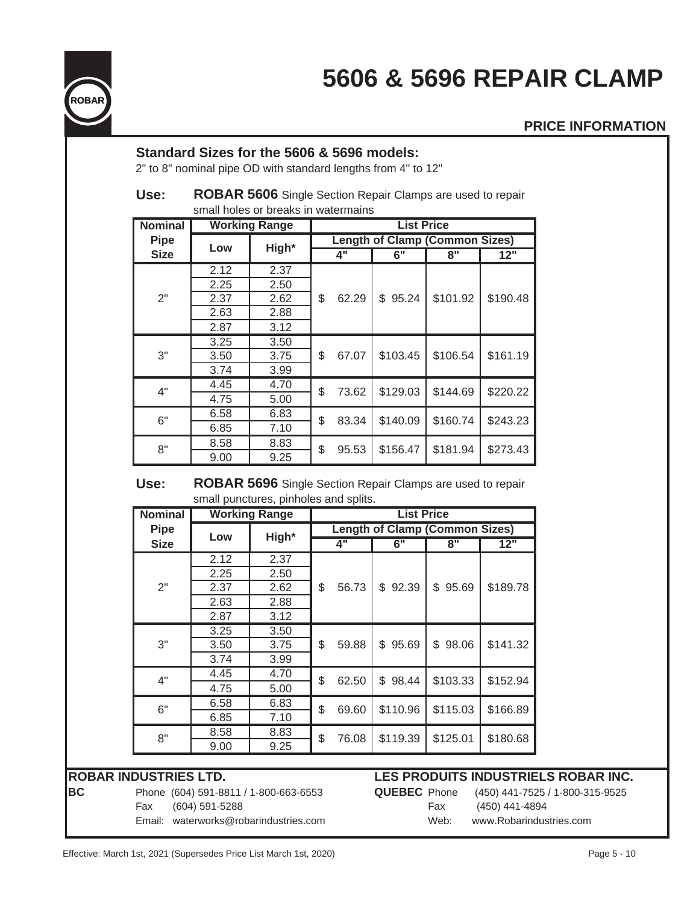



### **PRICE INFORMATION**

## **Standard Sizes for the 5606 & 5696 models:**

2" to 8" nominal pipe OD with standard lengths from 4" to 12"

### **Use: ROBAR 5606** Single Section Repair Clamps are used to repair small holes or breaks in watermains

| <b>Nominal</b> |      | <b>Working Range</b> |                                       |       | <b>List Price</b> |          |          |  |  |
|----------------|------|----------------------|---------------------------------------|-------|-------------------|----------|----------|--|--|
| <b>Pipe</b>    | Low  | High*                | <b>Length of Clamp (Common Sizes)</b> |       |                   |          |          |  |  |
| <b>Size</b>    |      |                      |                                       | 4"    | 6"                | 8"       | 12"      |  |  |
|                | 2.12 | 2.37                 |                                       |       |                   |          |          |  |  |
|                | 2.25 | 2.50                 |                                       | 62.29 |                   |          |          |  |  |
| 2"             | 2.37 | 2.62                 | \$                                    |       | 95.24<br>\$       | \$101.92 | \$190.48 |  |  |
|                | 2.63 | 2.88                 |                                       |       |                   |          |          |  |  |
|                | 2.87 | 3.12                 |                                       |       |                   |          |          |  |  |
|                | 3.25 | 3.50                 | \$                                    | 67.07 | \$103.45          | \$106.54 | \$161.19 |  |  |
| 3"             | 3.50 | 3.75                 |                                       |       |                   |          |          |  |  |
|                | 3.74 | 3.99                 |                                       |       |                   |          |          |  |  |
| 4"             | 4.45 | 4.70                 | \$                                    |       | \$129.03          | \$144.69 | \$220.22 |  |  |
|                | 4.75 | 5.00                 |                                       | 73.62 |                   |          |          |  |  |
| 6"             | 6.58 | 6.83                 | \$                                    | 83.34 | \$140.09          |          | \$243.23 |  |  |
|                | 6.85 | 7.10                 |                                       |       |                   | \$160.74 |          |  |  |
| 8"             | 8.58 | 8.83                 |                                       | 95.53 | \$156.47          | \$181.94 | \$273.43 |  |  |
|                | 9.00 | 9.25                 | \$                                    |       |                   |          |          |  |  |

### **Use: ROBAR 5696** Single Section Repair Clamps are used to repair small punctures, pinholes and splits.

| <b>Nominal</b> | <b>Working Range</b>         |            |             | <b>List Price</b>                     |             |             |          |  |  |
|----------------|------------------------------|------------|-------------|---------------------------------------|-------------|-------------|----------|--|--|
| <b>Pipe</b>    | Low                          | High*      |             | <b>Length of Clamp (Common Sizes)</b> |             |             |          |  |  |
| <b>Size</b>    |                              |            |             | $\overline{4}$ "                      | 6"          | 8"          | 12"      |  |  |
|                | 2.12                         | 2.37       |             |                                       |             |             |          |  |  |
|                | 2.25                         | 2.50       |             |                                       |             |             |          |  |  |
| 2"             | 2.37                         | \$<br>2.62 | 56.73       | 92.39<br>\$                           | 95.69<br>\$ | \$189.78    |          |  |  |
|                | 2.63<br>2.88<br>3.12<br>2.87 |            |             |                                       |             |             |          |  |  |
|                |                              |            |             |                                       |             |             |          |  |  |
|                | 3.25                         | 3.50       | \$<br>59.88 |                                       |             |             |          |  |  |
| 3"             | 3.50                         | 3.75       |             |                                       | \$95.69     | \$<br>98.06 | \$141.32 |  |  |
|                | 3.74                         | 3.99       |             |                                       |             |             |          |  |  |
| 4"             | 4.45                         | 4.70       | \$          | 62.50                                 | 98.44<br>\$ | \$103.33    | \$152.94 |  |  |
|                | 4.75                         | 5.00       |             |                                       |             |             |          |  |  |
| 6"             | 6.58                         | 6.83       | \$          |                                       | \$110.96    | \$115.03    | \$166.89 |  |  |
|                | 6.85                         | 7.10       |             | 69.60                                 |             |             |          |  |  |
| 8"             | 8.58                         | 8.83       |             |                                       | \$119.39    |             |          |  |  |
|                | 9.00                         | 9.25       | \$<br>76.08 |                                       |             | \$125.01    | \$180.68 |  |  |

| BC | Phone (604) 591-8811 / 1-800-663-6553                |               | <b>QUEBEC</b> Phone (450) 441-7525 / 1-800-315-9525 |
|----|------------------------------------------------------|---------------|-----------------------------------------------------|
|    | Fax (604) 591-5288                                   | Fax           | (450) 441-4894                                      |
|    | $F_{\text{mail}}$ waterworks $@$ robarinductries com | $M\Delta h$ . | www.Robarinductries.com                             |

## **ROBAR INDUSTRIES LTD. LES PRODUITS INDUSTRIELS ROBAR INC.**

| <b>JEBEC</b> Phone |      |  |  |
|--------------------|------|--|--|
|                    | Fax  |  |  |
|                    | Web: |  |  |

(450) 441-4894 Email: waterworks@robarindustries.com Web: www.Robarindustries.com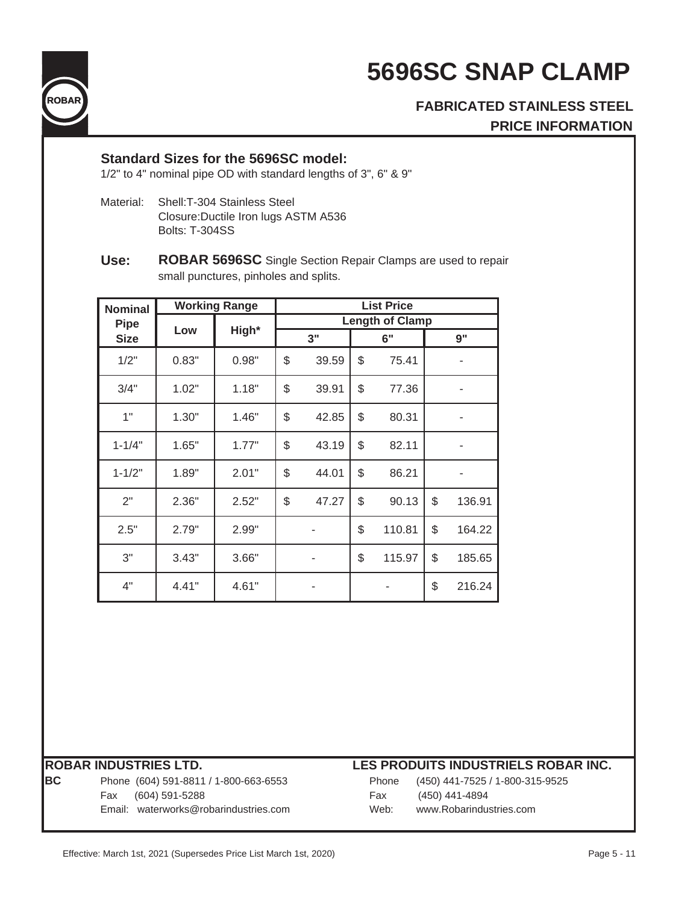



# **FABRICATED STAINLESS STEEL PRICE INFORMATION**

## **Standard Sizes for the 5696SC model:**

1/2" to 4" nominal pipe OD with standard lengths of 3", 6" & 9"

- Material: Shell:T-304 Stainless Steel Closure:Ductile Iron lugs ASTM A536 Bolts: T-304SS
- **Use: ROBAR 5696SC** Single Section Repair Clamps are used to repair small punctures, pinholes and splits.

| <b>Nominal</b> | <b>Working Range</b> |                        | <b>List Price</b> |       |    |        |    |        |
|----------------|----------------------|------------------------|-------------------|-------|----|--------|----|--------|
| <b>Pipe</b>    |                      | <b>Length of Clamp</b> |                   |       |    |        |    |        |
| <b>Size</b>    | High*<br>Low         |                        | 3"                |       | 6" |        | 9" |        |
| 1/2"           | 0.83"                | 0.98"                  | \$                | 39.59 | \$ | 75.41  |    |        |
| 3/4"           | 1.02"                | 1.18"                  | \$                | 39.91 | \$ | 77.36  |    |        |
| 1"             | 1.30"                | 1.46"                  | \$                | 42.85 | \$ | 80.31  |    |        |
| $1 - 1/4"$     | 1.65"                | 1.77"                  | \$                | 43.19 | \$ | 82.11  |    |        |
| $1 - 1/2"$     | 1.89"                | 2.01"                  | \$                | 44.01 | \$ | 86.21  |    |        |
| 2"             | 2.36"                | 2.52"                  | \$                | 47.27 | \$ | 90.13  | \$ | 136.91 |
| 2.5"           | 2.79"                | 2.99"                  |                   |       | \$ | 110.81 | \$ | 164.22 |
| 3"             | 3.43"                | 3.66"                  |                   | ۰     | \$ | 115.97 | \$ | 185.65 |
| 4"             | 4.41"                | 4.61"                  |                   |       |    |        | \$ | 216.24 |

| IRC. |  |  |
|------|--|--|
|      |  |  |
|      |  |  |
|      |  |  |

Phone (604) 591-8811 / 1-800-663-6553 Fax (604) 591-5288 Email: waterworks@robarindustries.com

| Phone | (450) 441-7525 / 1-800-315-9525 |
|-------|---------------------------------|
| Fax   | (450) 441-4894                  |
| Web:  | www.Robarindustries.com         |